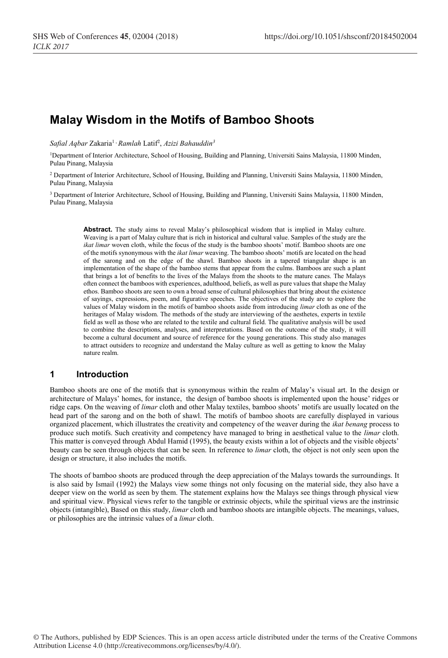# **Malay Wisdom in the Motifs of Bamboo Shoots**

*Safial Aqbar* Zakaria1 , *Ramlah* Latif2 , *Azizi Bahauddin3*

1Department of Interior Architecture, School of Housing, Building and Planning, Universiti Sains Malaysia, 11800 Minden, Pulau Pinang, Malaysia

<sup>2</sup> Department of Interior Architecture, School of Housing, Building and Planning, Universiti Sains Malaysia, 11800 Minden, Pulau Pinang, Malaysia

<sup>3</sup> Department of Interior Architecture, School of Housing, Building and Planning, Universiti Sains Malaysia, 11800 Minden, Pulau Pinang, Malaysia

**Abstract.** The study aims to reveal Malay's philosophical wisdom that is implied in Malay culture. Weaving is a part of Malay culture that is rich in historical and cultural value. Samples of the study are the *ikat limar* woven cloth, while the focus of the study is the bamboo shoots' motif. Bamboo shoots are one of the motifs synonymous with the *ikat limar* weaving. The bamboo shoots' motifs are located on the head of the sarong and on the edge of the shawl. Bamboo shoots in a tapered triangular shape is an implementation of the shape of the bamboo stems that appear from the culms. Bamboos are such a plant that brings a lot of benefits to the lives of the Malays from the shoots to the mature canes. The Malays often connect the bamboos with experiences, adulthood, beliefs, as well as pure values that shape the Malay ethos. Bamboo shoots are seen to own a broad sense of cultural philosophies that bring about the existence of sayings, expressions, poem, and figurative speeches. The objectives of the study are to explore the values of Malay wisdom in the motifs of bamboo shoots aside from introducing *limar* cloth as one of the heritages of Malay wisdom. The methods of the study are interviewing of the aesthetes, experts in textile field as well as those who are related to the textile and cultural field. The qualitative analysis will be used to combine the descriptions, analyses, and interpretations. Based on the outcome of the study, it will become a cultural document and source of reference for the young generations. This study also manages to attract outsiders to recognize and understand the Malay culture as well as getting to know the Malay nature realm.

### **1 Introduction**

Bamboo shoots are one of the motifs that is synonymous within the realm of Malay's visual art. In the design or architecture of Malays' homes, for instance, the design of bamboo shoots is implemented upon the house' ridges or ridge caps. On the weaving of *limar* cloth and other Malay textiles, bamboo shoots' motifs are usually located on the head part of the sarong and on the both of shawl. The motifs of bamboo shoots are carefully displayed in various organized placement, which illustrates the creativity and competency of the weaver during the *ikat benang* process to produce such motifs. Such creativity and competency have managed to bring in aesthetical value to the *limar* cloth. This matter is conveyed through Abdul Hamid (1995), the beauty exists within a lot of objects and the visible objects' beauty can be seen through objects that can be seen. In reference to *limar* cloth, the object is not only seen upon the design or structure, it also includes the motifs.

The shoots of bamboo shoots are produced through the deep appreciation of the Malays towards the surroundings. It is also said by Ismail (1992) the Malays view some things not only focusing on the material side, they also have a deeper view on the world as seen by them. The statement explains how the Malays see things through physical view and spiritual view. Physical views refer to the tangible or extrinsic objects, while the spiritual views are the instrinsic objects (intangible), Based on this study, *limar* cloth and bamboo shoots are intangible objects. The meanings, values, or philosophies are the intrinsic values of a *limar* cloth.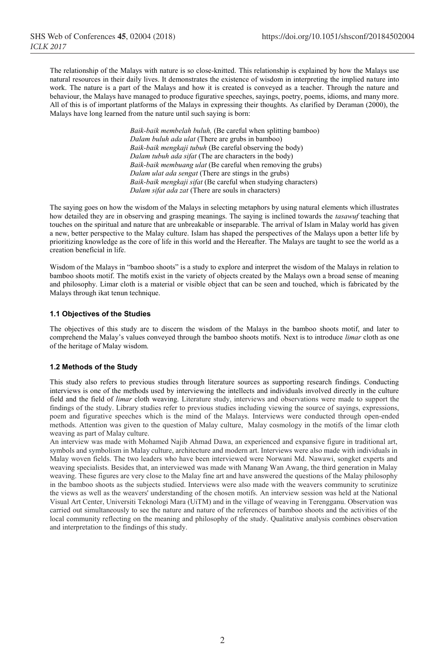The relationship of the Malays with nature is so close-knitted. This relationship is explained by how the Malays use natural resources in their daily lives. It demonstrates the existence of wisdom in interpreting the implied nature into work. The nature is a part of the Malays and how it is created is conveyed as a teacher. Through the nature and behaviour, the Malays have managed to produce figurative speeches, sayings, poetry, poems, idioms, and many more. All of this is of important platforms of the Malays in expressing their thoughts. As clarified by Deraman (2000), the Malays have long learned from the nature until such saying is born:

> *Baik-baik membelah buluh,* (Be careful when splitting bamboo) *Dalam buluh ada ulat* (There are grubs in bamboo) *Baik-baik mengkaji tubuh* (Be careful observing the body) *Dalam tubuh ada sifat* (The are characters in the body) *Baik-baik membuang ulat* (Be careful when removing the grubs) *Dalam ulat ada sengat* (There are stings in the grubs) *Baik-baik mengkaji sifat* (Be careful when studying characters) *Dalam sifat ada zat* (There are souls in characters)

The saying goes on how the wisdom of the Malays in selecting metaphors by using natural elements which illustrates how detailed they are in observing and grasping meanings. The saying is inclined towards the *tasawuf* teaching that touches on the spiritual and nature that are unbreakable or inseparable. The arrival of Islam in Malay world has given a new, better perspective to the Malay culture. Islam has shaped the perspectives of the Malays upon a better life by prioritizing knowledge as the core of life in this world and the Hereafter. The Malays are taught to see the world as a creation beneficial in life.

Wisdom of the Malays in "bamboo shoots" is a study to explore and interpret the wisdom of the Malays in relation to bamboo shoots motif. The motifs exist in the variety of objects created by the Malays own a broad sense of meaning and philosophy. Limar cloth is a material or visible object that can be seen and touched, which is fabricated by the Malays through ikat tenun technique.

### **1.1 Objectives of the Studies**

The objectives of this study are to discern the wisdom of the Malays in the bamboo shoots motif, and later to comprehend the Malay's values conveyed through the bamboo shoots motifs. Next is to introduce *limar* cloth as one of the heritage of Malay wisdom.

#### **1.2 Methods of the Study**

This study also refers to previous studies through literature sources as supporting research findings. Conducting interviews is one of the methods used by interviewing the intellects and individuals involved directly in the culture field and the field of *limar* cloth weaving. Literature study, interviews and observations were made to support the findings of the study. Library studies refer to previous studies including viewing the source of sayings, expressions, poem and figurative speeches which is the mind of the Malays. Interviews were conducted through open-ended methods. Attention was given to the question of Malay culture, Malay cosmology in the motifs of the limar cloth weaving as part of Malay culture.

An interview was made with Mohamed Najib Ahmad Dawa, an experienced and expansive figure in traditional art, symbols and symbolism in Malay culture, architecture and modern art. Interviews were also made with individuals in Malay woven fields. The two leaders who have been interviewed were Norwani Md. Nawawi, songket experts and weaving specialists. Besides that, an interviewed was made with Manang Wan Awang, the third generation in Malay weaving. These figures are very close to the Malay fine art and have answered the questions of the Malay philosophy in the bamboo shoots as the subjects studied. Interviews were also made with the weavers community to scrutinize the views as well as the weavers' understanding of the chosen motifs. An interview session was held at the National Visual Art Center, Universiti Teknologi Mara (UiTM) and in the village of weaving in Terengganu. Observation was carried out simultaneously to see the nature and nature of the references of bamboo shoots and the activities of the local community reflecting on the meaning and philosophy of the study. Qualitative analysis combines observation and interpretation to the findings of this study.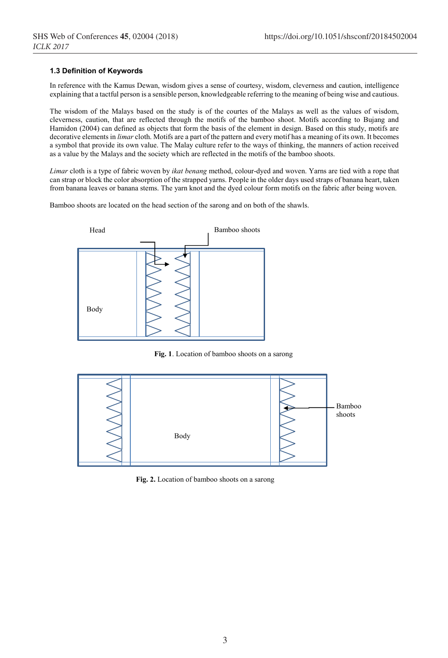#### **1.3 Definition of Keywords**

In reference with the Kamus Dewan, wisdom gives a sense of courtesy, wisdom, cleverness and caution, intelligence explaining that a tactful person is a sensible person, knowledgeable referring to the meaning of being wise and cautious.

The wisdom of the Malays based on the study is of the courtes of the Malays as well as the values of wisdom, cleverness, caution, that are reflected through the motifs of the bamboo shoot. Motifs according to Bujang and Hamidon (2004) can defined as objects that form the basis of the element in design. Based on this study, motifs are decorative elements in *limar* cloth. Motifs are a part of the pattern and every motif has a meaning of its own. It becomes a symbol that provide its own value. The Malay culture refer to the ways of thinking, the manners of action received as a value by the Malays and the society which are reflected in the motifs of the bamboo shoots.

*Limar* cloth is a type of fabric woven by *ikat benang* method, colour-dyed and woven. Yarns are tied with a rope that can strap or block the color absorption of the strapped yarns. People in the older days used straps of banana heart, taken from banana leaves or banana stems. The yarn knot and the dyed colour form motifs on the fabric after being woven.

Bamboo shoots are located on the head section of the sarong and on both of the shawls.



**Fig. 1**. Location of bamboo shoots on a sarong



**Fig. 2.** Location of bamboo shoots on a sarong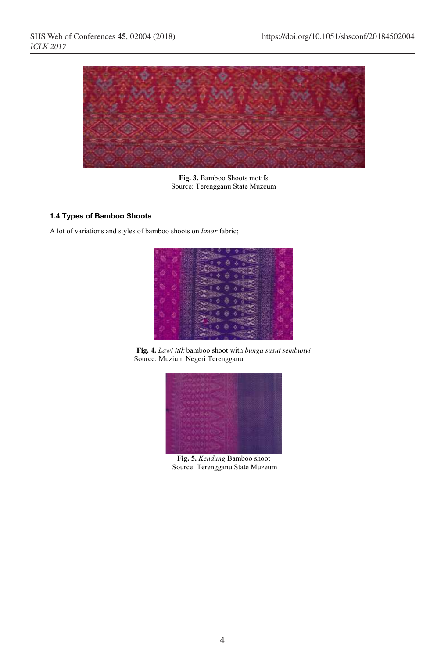

**Fig. 3.** Bamboo Shoots motifs Source: Terengganu State Muzeum

### **1.4 Types of Bamboo Shoots**

A lot of variations and styles of bamboo shoots on *limar* fabric;



**Fig. 4.** *Lawi itik* bamboo shoot with *bunga susut sembunyi* Source: Muzium Negeri Terengganu.



**Fig. 5.** *Kendung* Bamboo shoot Source: Terengganu State Muzeum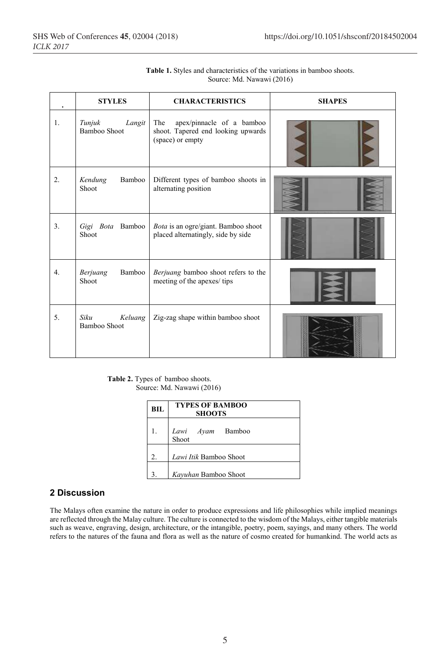|                  | <b>STYLES</b>                           | <b>CHARACTERISTICS</b>                                                                     | <b>SHAPES</b> |  |  |  |
|------------------|-----------------------------------------|--------------------------------------------------------------------------------------------|---------------|--|--|--|
| 1.               | Tunjuk<br>Langit<br><b>Bamboo Shoot</b> | The<br>apex/pinnacle of a bamboo<br>shoot. Tapered end looking upwards<br>(space) or empty |               |  |  |  |
| $\overline{2}$ . | Bamboo<br>Kendung<br>Shoot              | Different types of bamboo shoots in<br>alternating position                                |               |  |  |  |
| 3.               | Gigi Bota Bamboo<br>Shoot               | Bota is an ogre/giant. Bamboo shoot<br>placed alternatingly, side by side                  |               |  |  |  |
| 4 <sup>1</sup>   | Bamboo<br><b>Berjuang</b><br>Shoot      | Berjuang bamboo shoot refers to the<br>meeting of the apexes/ tips                         |               |  |  |  |
| 5.               | Siku<br>Keluang<br><b>Bamboo Shoot</b>  | Zig-zag shape within bamboo shoot                                                          |               |  |  |  |

| <b>Table 1.</b> Styles and characteristics of the variations in bamboo shoots. |  |                           |  |  |  |
|--------------------------------------------------------------------------------|--|---------------------------|--|--|--|
|                                                                                |  | Source: Md. Nawawi (2016) |  |  |  |

### **Table 2.** Types of bamboo shoots. Source: Md. Nawawi (2016)

| BIL | <b>TYPES OF BAMBOO</b><br><b>SHOOTS</b> |  |  |  |
|-----|-----------------------------------------|--|--|--|
|     | Lawi Ayam Bamboo<br>Shoot               |  |  |  |
|     | Lawi Itik Bamboo Shoot                  |  |  |  |
|     | Kayuhan Bamboo Shoot                    |  |  |  |

## **2 Discussion**

The Malays often examine the nature in order to produce expressions and life philosophies while implied meanings are reflected through the Malay culture. The culture is connected to the wisdom of the Malays, either tangible materials such as weave, engraving, design, architecture, or the intangible, poetry, poem, sayings, and many others. The world refers to the natures of the fauna and flora as well as the nature of cosmo created for humankind. The world acts as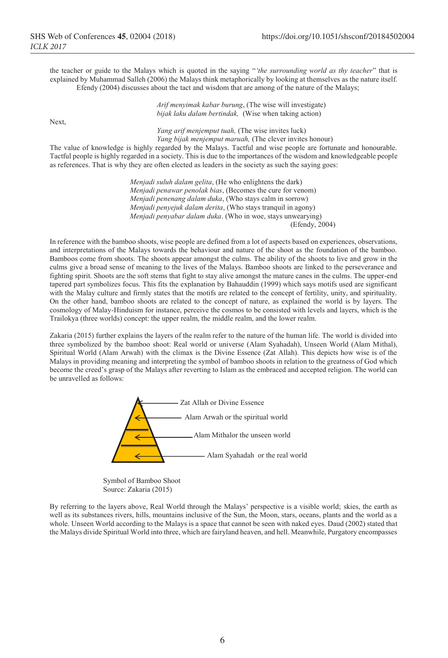the teacher or guide to the Malays which is quoted in the saying "*'the surrounding world as thy teacher*" that is explained by Muhammad Salleh (2006) the Malays think metaphorically by looking at themselves as the nature itself. Efendy (2004) discusses about the tact and wisdom that are among of the nature of the Malays;

> *Arif menyimak kabar burung*, (The wise will investigate) *bijak laku dalam bertindak,* (Wise when taking action)

Next,

*Yang arif menjemput tuah,* (The wise invites luck) *Yang bijak menjemput maruah,* (The clever invites honour)

The value of knowledge is highly regarded by the Malays. Tactful and wise people are fortunate and honourable. Tactful people is highly regarded in a society. This is due to the importances of the wisdom and knowledgeable people as references. That is why they are often elected as leaders in the society as such the saying goes:

> *Menjadi suluh dalam gelita*, (He who enlightens the dark) *Menjadi penawar penolak bias*, (Becomes the cure for venom) *Menjadi penenang dalam duka*, (Who stays calm in sorrow) *Menjadi penyejuk dalam derita*, (Who stays tranquil in agony) *Menjadi penyabar dalam duka*. (Who in woe, stays unwearying) (Efendy, 2004)

In reference with the bamboo shoots, wise people are defined from a lot of aspects based on experiences, observations, and interpretations of the Malays towards the behaviour and nature of the shoot as the foundation of the bamboo. Bamboos come from shoots. The shoots appear amongst the culms. The ability of the shoots to live and grow in the culms give a broad sense of meaning to the lives of the Malays. Bamboo shoots are linked to the perseverance and fighting spirit. Shoots are the soft stems that fight to stay alive amongst the mature canes in the culms. The upper-end tapered part symbolizes focus. This fits the explanation by Bahauddin (1999) which says motifs used are significant with the Malay culture and firmly states that the motifs are related to the concept of fertility, unity, and spirituality. On the other hand, bamboo shoots are related to the concept of nature, as explained the world is by layers. The cosmology of Malay-Hinduism for instance, perceive the cosmos to be consisted with levels and layers, which is the Trailokya (three worlds) concept: the upper realm, the middle realm, and the lower realm.

Zakaria (2015) further explains the layers of the realm refer to the nature of the human life. The world is divided into three symbolized by the bamboo shoot: Real world or universe (Alam Syahadah), Unseen World (Alam Mithal), Spiritual World (Alam Arwah) with the climax is the Divine Essence (Zat Allah). This depicts how wise is of the Malays in providing meaning and interpreting the symbol of bamboo shoots in relation to the greatness of God which become the creed's grasp of the Malays after reverting to Islam as the embraced and accepted religion. The world can be unravelled as follows:



Symbol of Bamboo Shoot Source: Zakaria (2015)

By referring to the layers above, Real World through the Malays' perspective is a visible world; skies, the earth as well as its substances rivers, hills, mountains inclusive of the Sun, the Moon, stars, oceans, plants and the world as a whole. Unseen World according to the Malays is a space that cannot be seen with naked eyes. Daud (2002) stated that the Malays divide Spiritual World into three, which are fairyland heaven, and hell. Meanwhile, Purgatory encompasses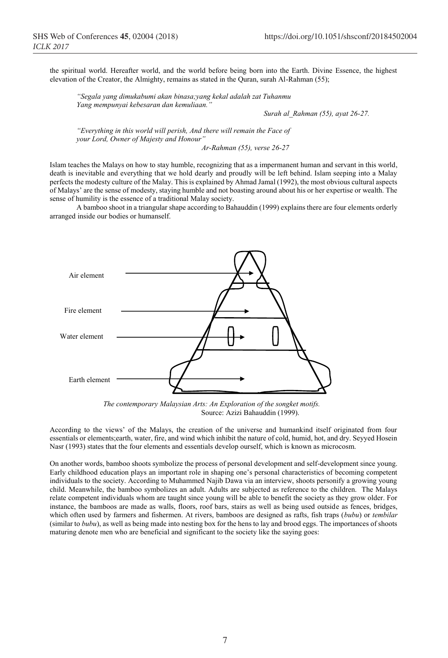the spiritual world. Hereafter world, and the world before being born into the Earth. Divine Essence, the highest elevation of the Creator, the Almighty, remains as stated in the Quran, surah Al-Rahman (55);

*"Segala yang dimukabumi akan binasa;yang kekal adalah zat Tuhanmu Yang mempunyai kebesaran dan kemuliaan."*

*Surah al\_Rahman (55), ayat 26-27.*

*"Everything in this world will perish, And there will remain the Face of your Lord, Owner of Majesty and Honour" Ar-Rahman (55), verse 26-27*

Islam teaches the Malays on how to stay humble, recognizing that as a impermanent human and servant in this world, death is inevitable and everything that we hold dearly and proudly will be left behind. Islam seeping into a Malay perfects the modesty culture of the Malay. This is explained by Ahmad Jamal (1992), the most obvious cultural aspects of Malays' are the sense of modesty, staying humble and not boasting around about his or her expertise or wealth. The sense of humility is the essence of a traditional Malay society.

A bamboo shoot in a triangular shape according to Bahauddin (1999) explains there are four elements orderly arranged inside our bodies or humanself.



*The contemporary Malaysian Arts: An Exploration of the songket motifs.* Source: Azizi Bahauddin (1999).

According to the views' of the Malays, the creation of the universe and humankind itself originated from four essentials or elements;earth, water, fire, and wind which inhibit the nature of cold, humid, hot, and dry. Seyyed Hosein Nasr (1993) states that the four elements and essentials develop ourself, which is known as microcosm.

On another words, bamboo shoots symbolize the process of personal development and self-development since young. Early childhood education plays an important role in shaping one's personal characteristics of becoming competent individuals to the society. According to Muhammed Najib Dawa via an interview, shoots personify a growing young child. Meanwhile, the bamboo symbolizes an adult. Adults are subjected as reference to the children. The Malays relate competent individuals whom are taught since young will be able to benefit the society as they grow older. For instance, the bamboos are made as walls, floors, roof bars, stairs as well as being used outside as fences, bridges, which often used by farmers and fishermen. At rivers, bamboos are designed as rafts, fish traps (*bubu*) or *tembilar* (similar to *bubu*), as well as being made into nesting box for the hens to lay and brood eggs. The importances of shoots maturing denote men who are beneficial and significant to the society like the saying goes: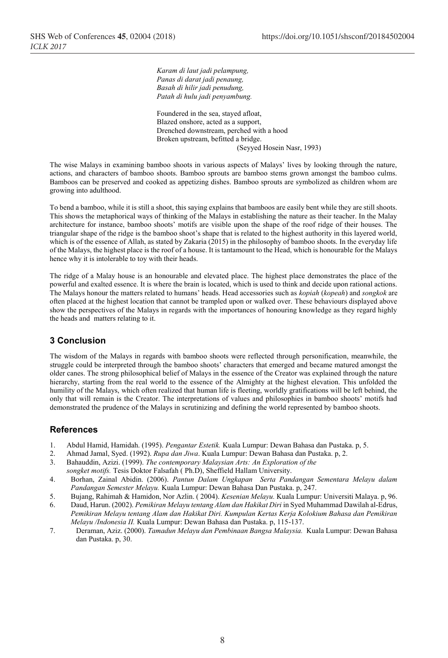*Karam di laut jadi pelampung, Panas di darat jadi penaung, Basah di hilir jadi penudung, Patah di hulu jadi penyambung.*

Foundered in the sea, stayed afloat, Blazed onshore, acted as a support, Drenched downstream, perched with a hood Broken upstream, befitted a bridge. (Seyyed Hosein Nasr, 1993)

The wise Malays in examining bamboo shoots in various aspects of Malays' lives by looking through the nature, actions, and characters of bamboo shoots. Bamboo sprouts are bamboo stems grown amongst the bamboo culms. Bamboos can be preserved and cooked as appetizing dishes. Bamboo sprouts are symbolized as children whom are growing into adulthood.

To bend a bamboo, while it is still a shoot, this saying explains that bamboos are easily bent while they are still shoots. This shows the metaphorical ways of thinking of the Malays in establishing the nature as their teacher. In the Malay architecture for instance, bamboo shoots' motifs are visible upon the shape of the roof ridge of their houses. The triangular shape of the ridge is the bamboo shoot's shape that is related to the highest authority in this layered world, which is of the essence of Allah, as stated by Zakaria (2015) in the philosophy of bamboo shoots. In the everyday life of the Malays, the highest place is the roof of a house. It is tantamount to the Head, which is honourable for the Malays hence why it is intolerable to toy with their heads.

The ridge of a Malay house is an honourable and elevated place. The highest place demonstrates the place of the powerful and exalted essence. It is where the brain is located, which is used to think and decide upon rational actions. The Malays honour the matters related to humans' heads. Head accessories such as *kopiah* (*kopeah*) and *songkok* are often placed at the highest location that cannot be trampled upon or walked over. These behaviours displayed above show the perspectives of the Malays in regards with the importances of honouring knowledge as they regard highly the heads and matters relating to it.

### **3 Conclusion**

The wisdom of the Malays in regards with bamboo shoots were reflected through personification, meanwhile, the struggle could be interpreted through the bamboo shoots' characters that emerged and became matured amongst the older canes. The strong philosophical belief of Malays in the essence of the Creator was explained through the nature hierarchy, starting from the real world to the essence of the Almighty at the highest elevation. This unfolded the humility of the Malays, which often realized that human life is fleeting, worldly gratifications will be left behind, the only that will remain is the Creator. The interpretations of values and philosophies in bamboo shoots' motifs had demonstrated the prudence of the Malays in scrutinizing and defining the world represented by bamboo shoots.

### **References**

- 1. Abdul Hamid, Hamidah. (1995). *Pengantar Estetik.* Kuala Lumpur: Dewan Bahasa dan Pustaka. p, 5.
- 2. Ahmad Jamal, Syed. (1992). *Rupa dan Jiwa*. Kuala Lumpur: Dewan Bahasa dan Pustaka. p, 2.
- 3. Bahauddin, Azizi. (1999). *The contemporary Malaysian Arts: An Exploration of the*
- *songket motifs.* Tesis Doktor Falsafah ( Ph.D), Sheffield Hallam University. 4. Borhan, Zainal Abidin. (2006). *Pantun Dalam Ungkapan Serta Pandangan Sementara Melayu dalam*
- *Pandangan Semester Melayu.* Kuala Lumpur: Dewan Bahasa Dan Pustaka. p, 247.
- 5. Bujang, Rahimah & Hamidon, Nor Azlin. ( 2004). *Kesenian Melayu.* Kuala Lumpur: Universiti Malaya. p, 96.
- 6. Daud, Harun. (2002). *Pemikiran Melayu tentang Alam dan Hakikat Diri* in Syed Muhammad Dawilah al-Edrus, *Pemikiran Melayu tentang Alam dan Hakikat Diri. Kumpulan Kertas Kerja Kolokium Bahasa dan Pemikiran Melayu /Indonesia II.* Kuala Lumpur: Dewan Bahasa dan Pustaka. p, 115-137.
- 7. Deraman, Aziz. (2000). *Tamadun Melayu dan Pembinaan Bangsa Malaysia.* Kuala Lumpur: Dewan Bahasa dan Pustaka. p, 30.